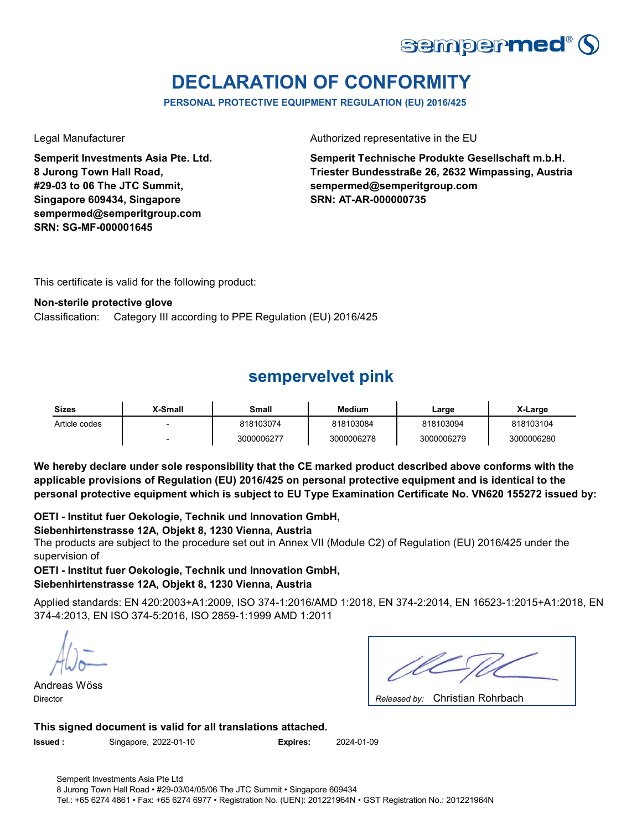

# **DECLARATION OF CONFORMITY**

**PERSONAL PROTECTIVE EQUIPMENT REGULATION (EU) 2016/425**

**Semperit Investments Asia Pte. Ltd. 8 Jurong Town Hall Road, #29-03 to 06 The JTC Summit, Singapore 609434, Singapore sempermed@semperitgroup.com SRN: SG-MF-000001645**

Legal Manufacturer **Authorized representative in the EU** 

**Semperit Technische Produkte Gesellschaft m.b.H. Triester Bundesstraße 26, 2632 Wimpassing, Austria sempermed@semperitgroup.com SRN: AT-AR-000000735**

This certificate is valid for the following product:

### **Non-sterile protective glove**

Category III according to PPE Regulation (EU) 2016/425 Classification:

## **sempervelvet pink**

| <b>Sizes</b>  | X-Small | Small      | <b>Medium</b> | ∟arge      | X-Large    |
|---------------|---------|------------|---------------|------------|------------|
| Article codes |         | 818103074  | 818103084     | 818103094  | 818103104  |
|               |         | 3000006277 | 3000006278    | 3000006279 | 3000006280 |

**We hereby declare under sole responsibility that the CE marked product described above conforms with the applicable provisions of Regulation (EU) 2016/425 on personal protective equipment and is identical to the personal protective equipment which is subject to EU Type Examination Certificate No. VN620 155272 issued by:**

### **OETI - Institut fuer Oekologie, Technik und Innovation GmbH,**

### **Siebenhirtenstrasse 12A, Objekt 8, 1230 Vienna, Austria**

The products are subject to the procedure set out in Annex VII (Module C2) of Regulation (EU) 2016/425 under the supervision of

### **OETI - Institut fuer Oekologie, Technik und Innovation GmbH, Siebenhirtenstrasse 12A, Objekt 8, 1230 Vienna, Austria**

Applied standards: EN 420:2003+A1:2009, ISO 374-1:2016/AMD 1:2018, EN 374-2:2014, EN 16523-1:2015+A1:2018, EN 374-4:2013, EN ISO 374-5:2016, ISO 2859-1:1999 AMD 1:2011

Andreas Wöss Director *Released by:* 

| Released by: Christian Rohrbach |  |
|---------------------------------|--|

### **This signed document is valid for all translations attached.**

**Issued :** Singapore, 2022-01-10 **Expires:** 2024-01-09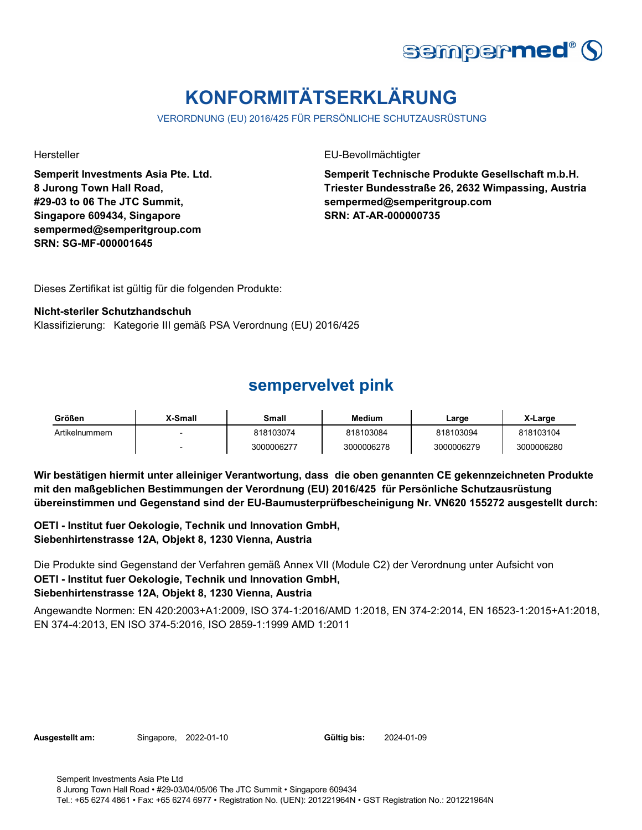

# **KONFORMITÄTSERKLÄRUNG**

VERORDNUNG (EU) 2016/425 FÜR PERSÖNLICHE SCHUTZAUSRÜSTUNG

**Semperit Investments Asia Pte. Ltd. 8 Jurong Town Hall Road, #29-03 to 06 The JTC Summit, Singapore 609434, Singapore sempermed@semperitgroup.com SRN: SG-MF-000001645**

Hersteller EU-Bevollmächtigter

**Semperit Technische Produkte Gesellschaft m.b.H. Triester Bundesstraße 26, 2632 Wimpassing, Austria sempermed@semperitgroup.com SRN: AT-AR-000000735**

Dieses Zertifikat ist gültig für die folgenden Produkte:

### **Nicht-steriler Schutzhandschuh**

Klassifizierung: Kategorie III gemäß PSA Verordnung (EU) 2016/425

### **sempervelvet pink**

| Größen         | X-Small | Small      | Medium     | Large      | X-Large    |
|----------------|---------|------------|------------|------------|------------|
| Artikelnummern |         | 818103074  | 818103084  | 818103094  | 818103104  |
|                |         | 3000006277 | 3000006278 | 3000006279 | 3000006280 |

**Wir bestätigen hiermit unter alleiniger Verantwortung, dass die oben genannten CE gekennzeichneten Produkte mit den maßgeblichen Bestimmungen der Verordnung (EU) 2016/425 für Persönliche Schutzausrüstung übereinstimmen und Gegenstand sind der EU-Baumusterprüfbescheinigung Nr. VN620 155272 ausgestellt durch:**

**OETI - Institut fuer Oekologie, Technik und Innovation GmbH, Siebenhirtenstrasse 12A, Objekt 8, 1230 Vienna, Austria**

Die Produkte sind Gegenstand der Verfahren gemäß Annex VII (Module C2) der Verordnung unter Aufsicht von **OETI - Institut fuer Oekologie, Technik und Innovation GmbH, Siebenhirtenstrasse 12A, Objekt 8, 1230 Vienna, Austria**

Angewandte Normen: EN 420:2003+A1:2009, ISO 374-1:2016/AMD 1:2018, EN 374-2:2014, EN 16523-1:2015+A1:2018, EN 374-4:2013, EN ISO 374-5:2016, ISO 2859-1:1999 AMD 1:2011

**Ausgestellt am:** Singapore, 2022-01-10

Gültig bis: 2024-01-09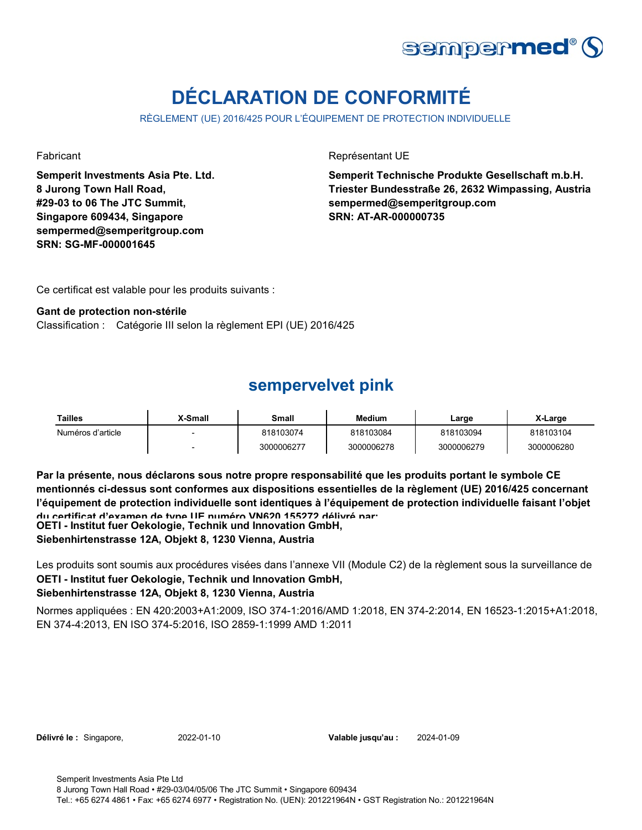

# **DÉCLARATION DE CONFORMITÉ**

RÈGLEMENT (UE) 2016/425 POUR L'ÉQUIPEMENT DE PROTECTION INDIVIDUELLE

**Semperit Investments Asia Pte. Ltd. 8 Jurong Town Hall Road, #29-03 to 06 The JTC Summit, Singapore 609434, Singapore sempermed@semperitgroup.com SRN: SG-MF-000001645**

Fabricant **Représentant UE** 

**Semperit Technische Produkte Gesellschaft m.b.H. Triester Bundesstraße 26, 2632 Wimpassing, Austria sempermed@semperitgroup.com SRN: AT-AR-000000735**

Ce certificat est valable pour les produits suivants :

### **Gant de protection non-stérile**

Classification : Catégorie III selon la règlement EPI (UE) 2016/425

### **sempervelvet pink**

| Tailles           | <b>X-Small</b> | Small      | <b>Medium</b> | ∟arge      | X-Large    |
|-------------------|----------------|------------|---------------|------------|------------|
| Numéros d'article |                | 818103074  | 818103084     | 818103094  | 818103104  |
|                   |                | 3000006277 | 3000006278    | 3000006279 | 3000006280 |

**Par la présente, nous déclarons sous notre propre responsabilité que les produits portant le symbole CE mentionnés ci-dessus sont conformes aux dispositions essentielles de la règlement (UE) 2016/425 concernant l'équipement de protection individuelle sont identiques à l'équipement de protection individuelle faisant l'objet du certificat d'examen de type UE numéro VN620 155272 délivré par:**

**OETI - Institut fuer Oekologie, Technik und Innovation GmbH,** 

**Siebenhirtenstrasse 12A, Objekt 8, 1230 Vienna, Austria**

Les produits sont soumis aux procédures visées dans l'annexe VII (Module C2) de la règlement sous la surveillance de **OETI - Institut fuer Oekologie, Technik und Innovation GmbH,** 

### **Siebenhirtenstrasse 12A, Objekt 8, 1230 Vienna, Austria**

Normes appliquées : EN 420:2003+A1:2009, ISO 374-1:2016/AMD 1:2018, EN 374-2:2014, EN 16523-1:2015+A1:2018, EN 374-4:2013, EN ISO 374-5:2016, ISO 2859-1:1999 AMD 1:2011

**Délivré le :** Singapore, 2022-01-10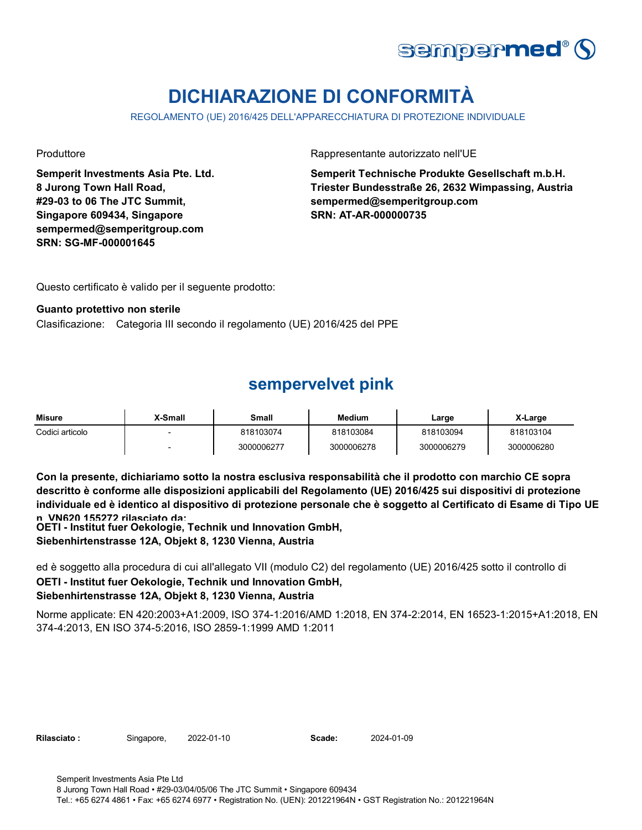

# **DICHIARAZIONE DI CONFORMITÀ**

REGOLAMENTO (UE) 2016/425 DELL'APPARECCHIATURA DI PROTEZIONE INDIVIDUALE

**Semperit Investments Asia Pte. Ltd. 8 Jurong Town Hall Road, #29-03 to 06 The JTC Summit, Singapore 609434, Singapore sempermed@semperitgroup.com SRN: SG-MF-000001645**

Produttore **Rappresentante autorizzato nell'UE** 

**Semperit Technische Produkte Gesellschaft m.b.H. Triester Bundesstraße 26, 2632 Wimpassing, Austria sempermed@semperitgroup.com SRN: AT-AR-000000735**

Questo certificato è valido per il seguente prodotto:

#### **Guanto protettivo non sterile**

Clasificazione: Categoria III secondo il regolamento (UE) 2016/425 del PPE

### **sempervelvet pink**

| <b>Misure</b>   | X-Small                  | Small      | Medium     | Large      | X-Large    |
|-----------------|--------------------------|------------|------------|------------|------------|
| Codici articolo | $\overline{\phantom{0}}$ | 818103074  | 818103084  | 818103094  | 818103104  |
|                 | $\overline{\phantom{0}}$ | 3000006277 | 3000006278 | 3000006279 | 3000006280 |

**Con la presente, dichiariamo sotto la nostra esclusiva responsabilità che il prodotto con marchio CE sopra descritto è conforme alle disposizioni applicabili del Regolamento (UE) 2016/425 sui dispositivi di protezione individuale ed è identico al dispositivo di protezione personale che è soggetto al Certificato di Esame di Tipo UE n VN620 155272 rilasciato da:**

**OETI - Institut fuer Oekologie, Technik und Innovation GmbH,** 

**Siebenhirtenstrasse 12A, Objekt 8, 1230 Vienna, Austria**

ed è soggetto alla procedura di cui all'allegato VII (modulo C2) del regolamento (UE) 2016/425 sotto il controllo di **OETI - Institut fuer Oekologie, Technik und Innovation GmbH, Siebenhirtenstrasse 12A, Objekt 8, 1230 Vienna, Austria**

Norme applicate: EN 420:2003+A1:2009, ISO 374-1:2016/AMD 1:2018, EN 374-2:2014, EN 16523-1:2015+A1:2018, EN 374-4:2013, EN ISO 374-5:2016, ISO 2859-1:1999 AMD 1:2011

Rilasciato: Singapore, 2022-01-10 **Scade:** 

2024-01-09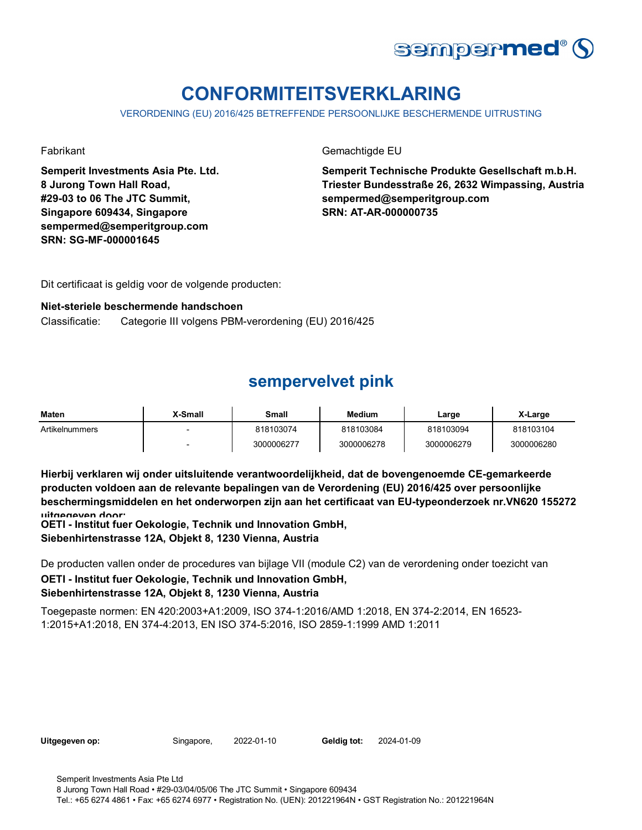

# **CONFORMITEITSVERKLARING**

VERORDENING (EU) 2016/425 BETREFFENDE PERSOONLIJKE BESCHERMENDE UITRUSTING

**Semperit Investments Asia Pte. Ltd. 8 Jurong Town Hall Road, #29-03 to 06 The JTC Summit, Singapore 609434, Singapore sempermed@semperitgroup.com SRN: SG-MF-000001645**

Fabrikant Gemachtigde EU

**Semperit Technische Produkte Gesellschaft m.b.H. Triester Bundesstraße 26, 2632 Wimpassing, Austria sempermed@semperitgroup.com SRN: AT-AR-000000735**

Dit certificaat is geldig voor de volgende producten:

### **Niet-steriele beschermende handschoen**

Classificatie: Categorie III volgens PBM-verordening (EU) 2016/425

# **sempervelvet pink**

| <b>Maten</b>   | <b>X-Small</b> | Small      | <b>Medium</b> | Large      | X-Large    |
|----------------|----------------|------------|---------------|------------|------------|
| Artikelnummers |                | 818103074  | 818103084     | 818103094  | 818103104  |
|                |                | 3000006277 | 3000006278    | 3000006279 | 3000006280 |

**Hierbij verklaren wij onder uitsluitende verantwoordelijkheid, dat de bovengenoemde CE-gemarkeerde producten voldoen aan de relevante bepalingen van de Verordening (EU) 2016/425 over persoonlijke beschermingsmiddelen en het onderworpen zijn aan het certificaat van EU-typeonderzoek nr.VN620 155272 uitgegeven door:**

**OETI - Institut fuer Oekologie, Technik und Innovation GmbH, Siebenhirtenstrasse 12A, Objekt 8, 1230 Vienna, Austria**

De producten vallen onder de procedures van bijlage VII (module C2) van de verordening onder toezicht van **OETI - Institut fuer Oekologie, Technik und Innovation GmbH, Siebenhirtenstrasse 12A, Objekt 8, 1230 Vienna, Austria**

Toegepaste normen: EN 420:2003+A1:2009, ISO 374-1:2016/AMD 1:2018, EN 374-2:2014, EN 16523- 1:2015+A1:2018, EN 374-4:2013, EN ISO 374-5:2016, ISO 2859-1:1999 AMD 1:2011

| Uitgegeven op: |  |  |  |
|----------------|--|--|--|
|----------------|--|--|--|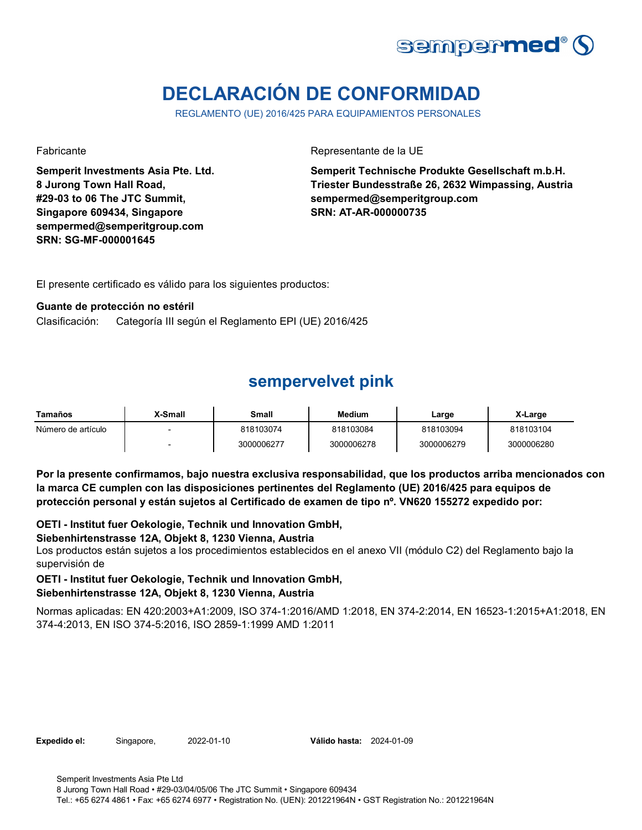

# **DECLARACIÓN DE CONFORMIDAD**

REGLAMENTO (UE) 2016/425 PARA EQUIPAMIENTOS PERSONALES

**Semperit Investments Asia Pte. Ltd. 8 Jurong Town Hall Road, #29-03 to 06 The JTC Summit, Singapore 609434, Singapore sempermed@semperitgroup.com SRN: SG-MF-000001645**

Fabricante de la UE

**Semperit Technische Produkte Gesellschaft m.b.H. Triester Bundesstraße 26, 2632 Wimpassing, Austria sempermed@semperitgroup.com SRN: AT-AR-000000735**

El presente certificado es válido para los siguientes productos:

### **Guante de protección no estéril**

Clasificación: Categoría III según el Reglamento EPI (UE) 2016/425

## **sempervelvet pink**

| Tamaños            | X-Small | Small      | <b>Medium</b> | ∟arge      | X-Large    |
|--------------------|---------|------------|---------------|------------|------------|
| Número de artículo |         | 818103074  | 818103084     | 818103094  | 818103104  |
|                    |         | 3000006277 | 3000006278    | 3000006279 | 3000006280 |

**Por la presente confirmamos, bajo nuestra exclusiva responsabilidad, que los productos arriba mencionados con la marca CE cumplen con las disposiciones pertinentes del Reglamento (UE) 2016/425 para equipos de protección personal y están sujetos al Certificado de examen de tipo nº. VN620 155272 expedido por:**

**OETI - Institut fuer Oekologie, Technik und Innovation GmbH,** 

### **Siebenhirtenstrasse 12A, Objekt 8, 1230 Vienna, Austria**

Los productos están sujetos a los procedimientos establecidos en el anexo VII (módulo C2) del Reglamento bajo la supervisión de

### **OETI - Institut fuer Oekologie, Technik und Innovation GmbH,**

### **Siebenhirtenstrasse 12A, Objekt 8, 1230 Vienna, Austria**

Normas aplicadas: EN 420:2003+A1:2009, ISO 374-1:2016/AMD 1:2018, EN 374-2:2014, EN 16523-1:2015+A1:2018, EN 374-4:2013, EN ISO 374-5:2016, ISO 2859-1:1999 AMD 1:2011

**Expedido el:** Singapore, **Válido hasta:** 2022-01-10 2024-01-09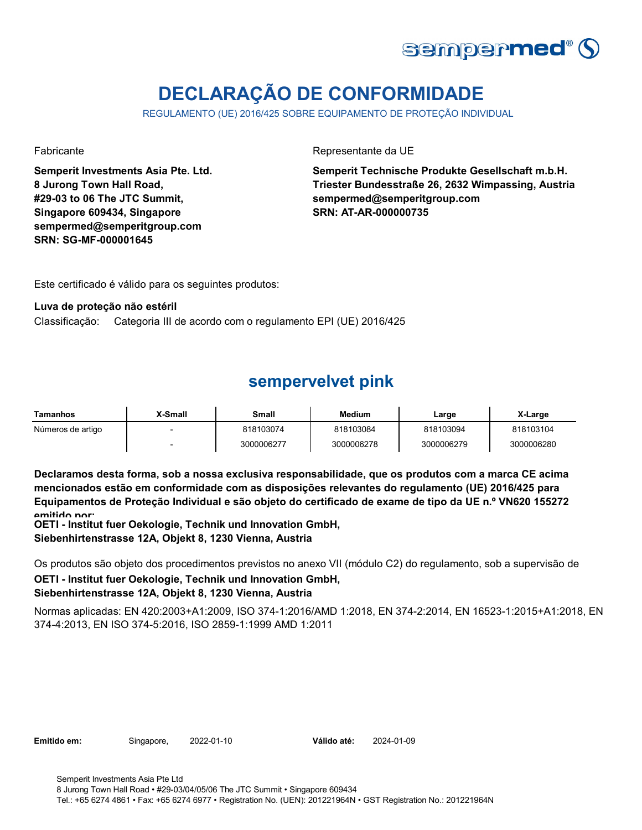

# **DECLARAÇÃO DE CONFORMIDADE**

REGULAMENTO (UE) 2016/425 SOBRE EQUIPAMENTO DE PROTEÇÃO INDIVIDUAL

**Semperit Investments Asia Pte. Ltd. 8 Jurong Town Hall Road, #29-03 to 06 The JTC Summit, Singapore 609434, Singapore sempermed@semperitgroup.com SRN: SG-MF-000001645**

Fabricante da UE

**Semperit Technische Produkte Gesellschaft m.b.H. Triester Bundesstraße 26, 2632 Wimpassing, Austria sempermed@semperitgroup.com SRN: AT-AR-000000735**

Este certificado é válido para os seguintes produtos:

### **Luva de proteção não estéril**

Classificação: Categoria III de acordo com o regulamento EPI (UE) 2016/425

# **sempervelvet pink**

| <b>Tamanhos</b>   | X-Small | Small      | <b>Medium</b> | Large      | X-Large    |
|-------------------|---------|------------|---------------|------------|------------|
| Números de artigo |         | 818103074  | 818103084     | 818103094  | 818103104  |
|                   |         | 3000006277 | 3000006278    | 3000006279 | 3000006280 |

**Declaramos desta forma, sob a nossa exclusiva responsabilidade, que os produtos com a marca CE acima mencionados estão em conformidade com as disposições relevantes do regulamento (UE) 2016/425 para Equipamentos de Proteção Individual e são objeto do certificado de exame de tipo da UE n.º VN620 155272 emitido por:**

**OETI - Institut fuer Oekologie, Technik und Innovation GmbH, Siebenhirtenstrasse 12A, Objekt 8, 1230 Vienna, Austria**

Os produtos são objeto dos procedimentos previstos no anexo VII (módulo C2) do regulamento, sob a supervisão de **OETI - Institut fuer Oekologie, Technik und Innovation GmbH, Siebenhirtenstrasse 12A, Objekt 8, 1230 Vienna, Austria**

Normas aplicadas: EN 420:2003+A1:2009, ISO 374-1:2016/AMD 1:2018, EN 374-2:2014, EN 16523-1:2015+A1:2018, EN 374-4:2013, EN ISO 374-5:2016, ISO 2859-1:1999 AMD 1:2011

**Emitido em:** Singapore, 2022-01-10

Válido até: 2024-01-09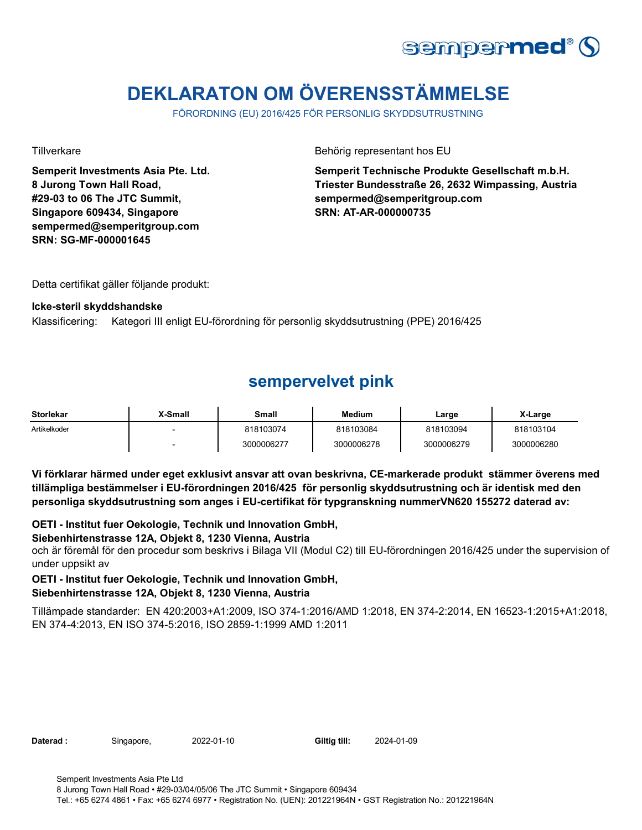

# **DEKLARATON OM ÖVERENSSTÄMMELSE**

FÖRORDNING (EU) 2016/425 FÖR PERSONLIG SKYDDSUTRUSTNING

**Semperit Investments Asia Pte. Ltd. 8 Jurong Town Hall Road, #29-03 to 06 The JTC Summit, Singapore 609434, Singapore sempermed@semperitgroup.com SRN: SG-MF-000001645**

Tillverkare **Behörig representant hos EU** 

**Semperit Technische Produkte Gesellschaft m.b.H. Triester Bundesstraße 26, 2632 Wimpassing, Austria sempermed@semperitgroup.com SRN: AT-AR-000000735**

Detta certifikat gäller följande produkt:

### **Icke-steril skyddshandske**

Klassificering: Kategori III enligt EU-förordning för personlig skyddsutrustning (PPE) 2016/425

## **sempervelvet pink**

| <b>Storlekar</b> | <b>X-Small</b> | Small      | Medium     | Large      | X-Large    |
|------------------|----------------|------------|------------|------------|------------|
| Artikelkoder     |                | 818103074  | 818103084  | 818103094  | 818103104  |
|                  |                | 3000006277 | 3000006278 | 3000006279 | 3000006280 |

**Vi förklarar härmed under eget exklusivt ansvar att ovan beskrivna, CE-markerade produkt stämmer överens med tillämpliga bestämmelser i EU-förordningen 2016/425 för personlig skyddsutrustning och är identisk med den personliga skyddsutrustning som anges i EU-certifikat för typgranskning nummerVN620 155272 daterad av:**

**OETI - Institut fuer Oekologie, Technik und Innovation GmbH,** 

### **Siebenhirtenstrasse 12A, Objekt 8, 1230 Vienna, Austria**

och är föremål för den procedur som beskrivs i Bilaga VII (Modul C2) till EU-förordningen 2016/425 under the supervision of under uppsikt av

### **OETI - Institut fuer Oekologie, Technik und Innovation GmbH,**

### **Siebenhirtenstrasse 12A, Objekt 8, 1230 Vienna, Austria**

Tillämpade standarder: EN 420:2003+A1:2009, ISO 374-1:2016/AMD 1:2018, EN 374-2:2014, EN 16523-1:2015+A1:2018, EN 374-4:2013, EN ISO 374-5:2016, ISO 2859-1:1999 AMD 1:2011

Daterad : Singapore, 2022-01-10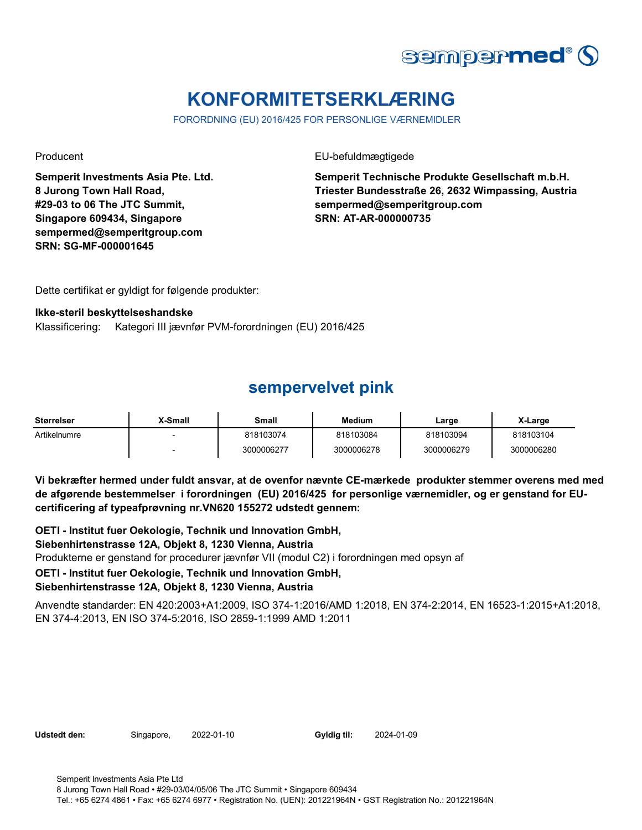

# **KONFORMITETSERKLÆRING**

FORORDNING (EU) 2016/425 FOR PERSONLIGE VÆRNEMIDLER

**Semperit Investments Asia Pte. Ltd. 8 Jurong Town Hall Road, #29-03 to 06 The JTC Summit, Singapore 609434, Singapore sempermed@semperitgroup.com SRN: SG-MF-000001645**

Producent **EU-befuldmægtigede** 

**Semperit Technische Produkte Gesellschaft m.b.H. Triester Bundesstraße 26, 2632 Wimpassing, Austria sempermed@semperitgroup.com SRN: AT-AR-000000735**

Dette certifikat er gyldigt for følgende produkter:

#### **Ikke-steril beskyttelseshandske**

Klassificering: Kategori III jævnfør PVM-forordningen (EU) 2016/425

## **sempervelvet pink**

| Størrelser   | X-Small | Small      | <b>Medium</b> | Large      | X-Large    |
|--------------|---------|------------|---------------|------------|------------|
| Artikelnumre |         | 818103074  | 818103084     | 818103094  | 818103104  |
|              |         | 3000006277 | 3000006278    | 3000006279 | 3000006280 |

**Vi bekræfter hermed under fuldt ansvar, at de ovenfor nævnte CE-mærkede produkter stemmer overens med med de afgørende bestemmelser i forordningen (EU) 2016/425 for personlige værnemidler, og er genstand for EUcertificering af typeafprøvning nr.VN620 155272 udstedt gennem:**

Produkterne er genstand for procedurer jævnfør VII (modul C2) i forordningen med opsyn af **OETI - Institut fuer Oekologie, Technik und Innovation GmbH, Siebenhirtenstrasse 12A, Objekt 8, 1230 Vienna, Austria OETI - Institut fuer Oekologie, Technik und Innovation GmbH, Siebenhirtenstrasse 12A, Objekt 8, 1230 Vienna, Austria**

Anvendte standarder: EN 420:2003+A1:2009, ISO 374-1:2016/AMD 1:2018, EN 374-2:2014, EN 16523-1:2015+A1:2018, EN 374-4:2013, EN ISO 374-5:2016, ISO 2859-1:1999 AMD 1:2011

**Udstedt den:** Singapore, **Gyldig til:**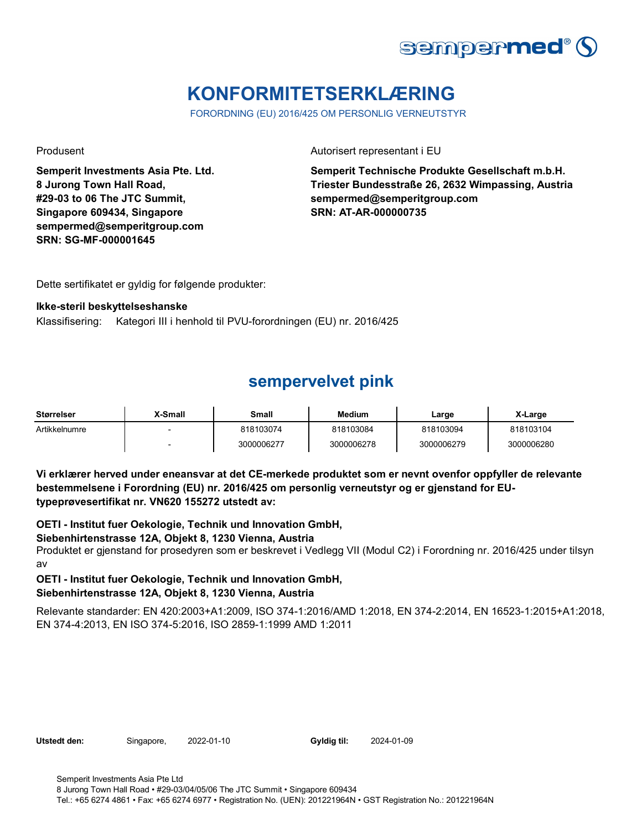

# **KONFORMITETSERKLÆRING**

FORORDNING (EU) 2016/425 OM PERSONLIG VERNEUTSTYR

**Semperit Investments Asia Pte. Ltd. 8 Jurong Town Hall Road, #29-03 to 06 The JTC Summit, Singapore 609434, Singapore sempermed@semperitgroup.com SRN: SG-MF-000001645**

Produsent **Autorisert representant i EU** 

**Semperit Technische Produkte Gesellschaft m.b.H. Triester Bundesstraße 26, 2632 Wimpassing, Austria sempermed@semperitgroup.com SRN: AT-AR-000000735**

Dette sertifikatet er gyldig for følgende produkter:

### **Ikke-steril beskyttelseshanske**

Klassifisering: Kategori III i henhold til PVU-forordningen (EU) nr. 2016/425

# **sempervelvet pink**

| <b>Størrelser</b> | X-Small                  | Small      | <b>Medium</b> | ∟arge      | X-Large    |
|-------------------|--------------------------|------------|---------------|------------|------------|
| Artikkelnumre     | $\overline{\phantom{0}}$ | 818103074  | 818103084     | 818103094  | 818103104  |
|                   |                          | 3000006277 | 3000006278    | 3000006279 | 3000006280 |

**Vi erklærer herved under eneansvar at det CE-merkede produktet som er nevnt ovenfor oppfyller de relevante bestemmelsene i Forordning (EU) nr. 2016/425 om personlig verneutstyr og er gjenstand for EUtypeprøvesertifikat nr. VN620 155272 utstedt av:**

**OETI - Institut fuer Oekologie, Technik und Innovation GmbH,** 

### **Siebenhirtenstrasse 12A, Objekt 8, 1230 Vienna, Austria**

Produktet er gjenstand for prosedyren som er beskrevet i Vedlegg VII (Modul C2) i Forordning nr. 2016/425 under tilsyn av

### **OETI - Institut fuer Oekologie, Technik und Innovation GmbH, Siebenhirtenstrasse 12A, Objekt 8, 1230 Vienna, Austria**

Relevante standarder: EN 420:2003+A1:2009, ISO 374-1:2016/AMD 1:2018, EN 374-2:2014, EN 16523-1:2015+A1:2018, EN 374-4:2013, EN ISO 374-5:2016, ISO 2859-1:1999 AMD 1:2011

Utstedt den: Singapore, 2022-01-10

Gyldig til: 2024-01-09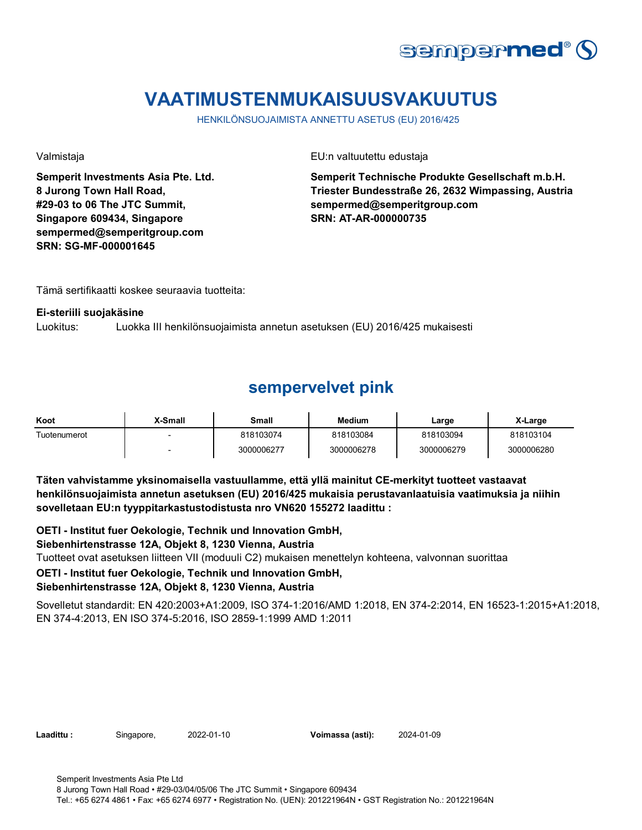

# **VAATIMUSTENMUKAISUUSVAKUUTUS**

HENKILÖNSUOJAIMISTA ANNETTU ASETUS (EU) 2016/425

**Semperit Investments Asia Pte. Ltd. 8 Jurong Town Hall Road, #29-03 to 06 The JTC Summit, Singapore 609434, Singapore sempermed@semperitgroup.com SRN: SG-MF-000001645**

Valmistaja EU:n valtuutettu edustaja

**Semperit Technische Produkte Gesellschaft m.b.H. Triester Bundesstraße 26, 2632 Wimpassing, Austria sempermed@semperitgroup.com SRN: AT-AR-000000735**

Tämä sertifikaatti koskee seuraavia tuotteita:

#### **Ei-steriili suojakäsine**

Luokitus: Luokka III henkilönsuojaimista annetun asetuksen (EU) 2016/425 mukaisesti

### **sempervelvet pink**

| Koot         | X-Small | Small      | Medium     | Large      | X-Large    |
|--------------|---------|------------|------------|------------|------------|
| Tuotenumerot |         | 818103074  | 818103084  | 818103094  | 818103104  |
|              |         | 3000006277 | 3000006278 | 3000006279 | 3000006280 |

**Täten vahvistamme yksinomaisella vastuullamme, että yllä mainitut CE-merkityt tuotteet vastaavat henkilönsuojaimista annetun asetuksen (EU) 2016/425 mukaisia perustavanlaatuisia vaatimuksia ja niihin sovelletaan EU:n tyyppitarkastustodistusta nro VN620 155272 laadittu :**

**OETI - Institut fuer Oekologie, Technik und Innovation GmbH,** 

### **Siebenhirtenstrasse 12A, Objekt 8, 1230 Vienna, Austria**

Tuotteet ovat asetuksen liitteen VII (moduuli C2) mukaisen menettelyn kohteena, valvonnan suorittaa

### **OETI - Institut fuer Oekologie, Technik und Innovation GmbH,**

### **Siebenhirtenstrasse 12A, Objekt 8, 1230 Vienna, Austria**

Sovelletut standardit: EN 420:2003+A1:2009, ISO 374-1:2016/AMD 1:2018, EN 374-2:2014, EN 16523-1:2015+A1:2018, EN 374-4:2013, EN ISO 374-5:2016, ISO 2859-1:1999 AMD 1:2011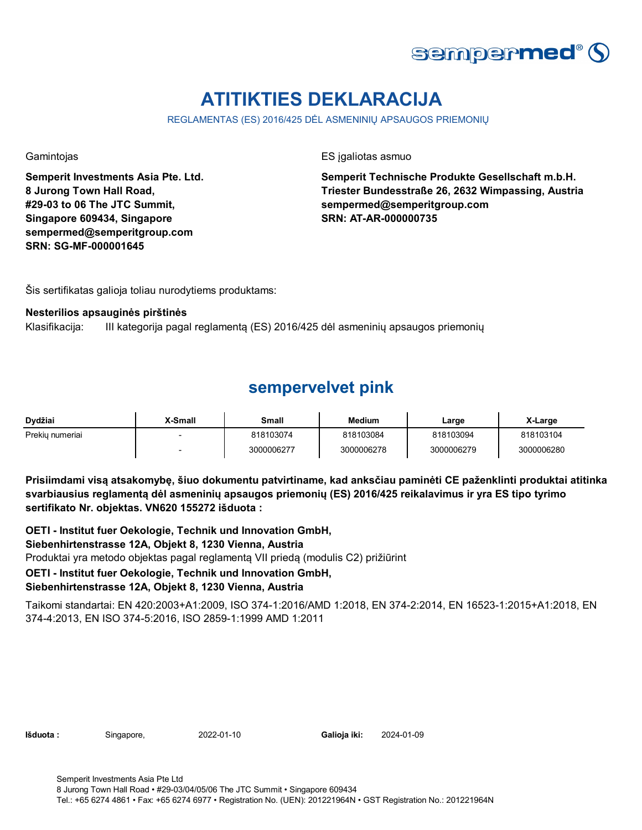

# **ATITIKTIES DEKLARACIJA**

REGLAMENTAS (ES) 2016/425 DĖL ASMENINIŲ APSAUGOS PRIEMONIŲ

**Semperit Investments Asia Pte. Ltd. 8 Jurong Town Hall Road, #29-03 to 06 The JTC Summit, Singapore 609434, Singapore sempermed@semperitgroup.com SRN: SG-MF-000001645**

Gamintojas ES įgaliotas asmuo

**Semperit Technische Produkte Gesellschaft m.b.H. Triester Bundesstraße 26, 2632 Wimpassing, Austria sempermed@semperitgroup.com SRN: AT-AR-000000735**

Šis sertifikatas galioja toliau nurodytiems produktams:

#### **Nesterilios apsauginės pirštinės**

Klasifikacija: III kategorija pagal reglamentą (ES) 2016/425 dėl asmeninių apsaugos priemonių

### **sempervelvet pink**

| Dvdžiai         | X-Small | Small      | <b>Medium</b> | Large      | X-Large    |
|-----------------|---------|------------|---------------|------------|------------|
| Prekiu numeriai |         | 818103074  | 818103084     | 818103094  | 818103104  |
|                 |         | 3000006277 | 3000006278    | 3000006279 | 3000006280 |

**Prisiimdami visą atsakomybę, šiuo dokumentu patvirtiname, kad anksčiau paminėti CE paženklinti produktai atitinka svarbiausius reglamentą dėl asmeninių apsaugos priemonių (ES) 2016/425 reikalavimus ir yra ES tipo tyrimo sertifikato Nr. objektas. VN620 155272 išduota :**

Produktai yra metodo objektas pagal reglamentą VII priedą (modulis C2) prižiūrint **OETI - Institut fuer Oekologie, Technik und Innovation GmbH, Siebenhirtenstrasse 12A, Objekt 8, 1230 Vienna, Austria**

### **OETI - Institut fuer Oekologie, Technik und Innovation GmbH,**

### **Siebenhirtenstrasse 12A, Objekt 8, 1230 Vienna, Austria**

Taikomi standartai: EN 420:2003+A1:2009, ISO 374-1:2016/AMD 1:2018, EN 374-2:2014, EN 16523-1:2015+A1:2018, EN 374-4:2013, EN ISO 374-5:2016, ISO 2859-1:1999 AMD 1:2011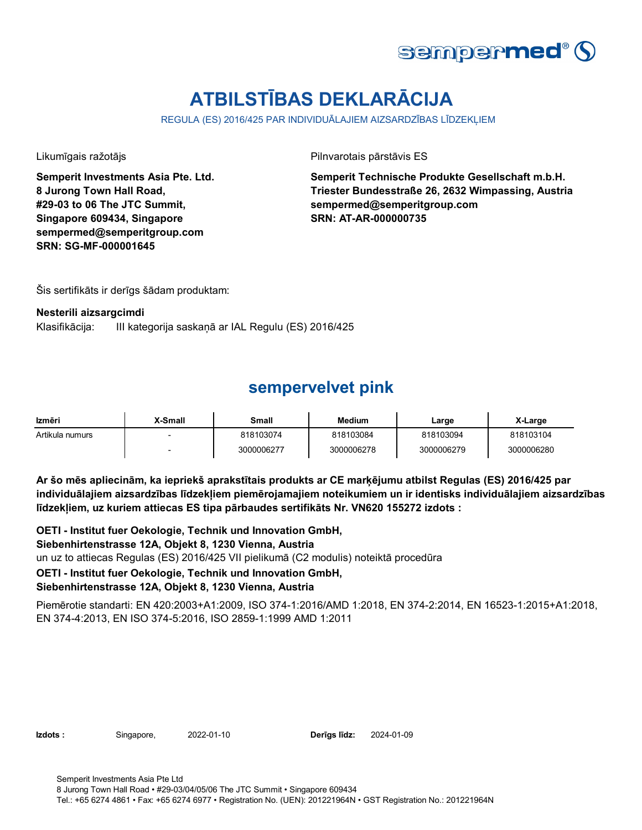

# **ATBILSTĪBAS DEKLARĀCIJA**

REGULA (ES) 2016/425 PAR INDIVIDUĀLAJIEM AIZSARDZĪBAS LĪDZEKĻIEM

**Semperit Investments Asia Pte. Ltd. 8 Jurong Town Hall Road, #29-03 to 06 The JTC Summit, Singapore 609434, Singapore sempermed@semperitgroup.com SRN: SG-MF-000001645**

Likumīgais ražotājs Pilnvarotais pārstāvis ES

**Semperit Technische Produkte Gesellschaft m.b.H. Triester Bundesstraße 26, 2632 Wimpassing, Austria sempermed@semperitgroup.com SRN: AT-AR-000000735**

Šis sertifikāts ir derīgs šādam produktam:

#### **Nesterili aizsargcimdi**

Klasifikācija: III kategorija saskaņā ar IAL Regulu (ES) 2016/425

### **sempervelvet pink**

| Izmēri          | X-Small | Small      | <b>Medium</b> | ∟arge      | X-Large    |
|-----------------|---------|------------|---------------|------------|------------|
| Artikula numurs |         | 818103074  | 818103084     | 818103094  | 818103104  |
|                 | -       | 3000006277 | 3000006278    | 3000006279 | 3000006280 |

**Ar šo mēs apliecinām, ka iepriekš aprakstītais produkts ar CE marķējumu atbilst Regulas (ES) 2016/425 par individuālajiem aizsardzības līdzekļiem piemērojamajiem noteikumiem un ir identisks individuālajiem aizsardzības līdzekļiem, uz kuriem attiecas ES tipa pārbaudes sertifikāts Nr. VN620 155272 izdots :**

un uz to attiecas Regulas (ES) 2016/425 VII pielikumā (C2 modulis) noteiktā procedūra **OETI - Institut fuer Oekologie, Technik und Innovation GmbH, Siebenhirtenstrasse 12A, Objekt 8, 1230 Vienna, Austria OETI - Institut fuer Oekologie, Technik und Innovation GmbH,** 

### **Siebenhirtenstrasse 12A, Objekt 8, 1230 Vienna, Austria**

Piemērotie standarti: EN 420:2003+A1:2009, ISO 374-1:2016/AMD 1:2018, EN 374-2:2014, EN 16523-1:2015+A1:2018, EN 374-4:2013, EN ISO 374-5:2016, ISO 2859-1:1999 AMD 1:2011

**Izdots :** Singapore, 2022-01-10 **Derīgs līdz:** 2024-01-09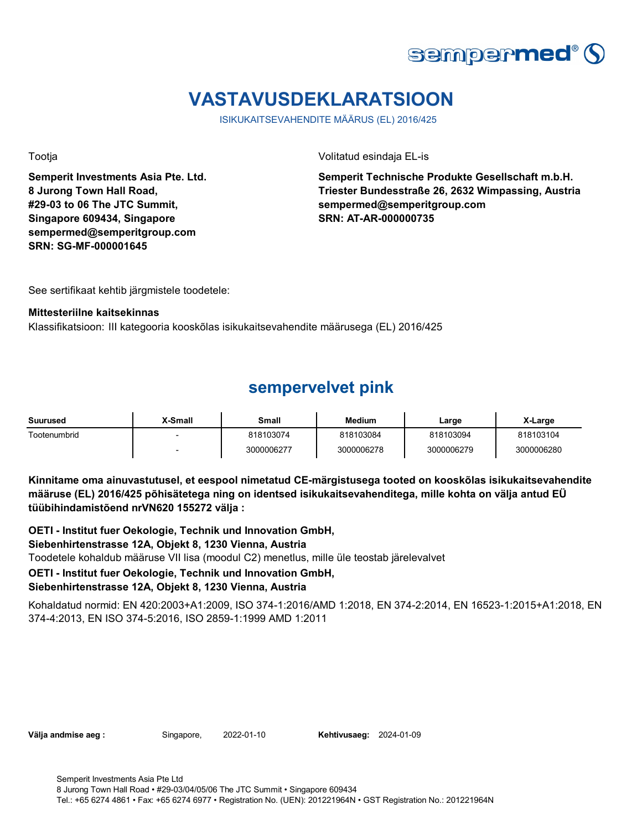

# **VASTAVUSDEKLARATSIOON**

ISIKUKAITSEVAHENDITE MÄÄRUS (EL) 2016/425

**Semperit Investments Asia Pte. Ltd. 8 Jurong Town Hall Road, #29-03 to 06 The JTC Summit, Singapore 609434, Singapore sempermed@semperitgroup.com SRN: SG-MF-000001645**

Tootja Volitatud esindaja EL-is

**Semperit Technische Produkte Gesellschaft m.b.H. Triester Bundesstraße 26, 2632 Wimpassing, Austria sempermed@semperitgroup.com SRN: AT-AR-000000735**

See sertifikaat kehtib järgmistele toodetele:

#### **Mittesteriilne kaitsekinnas**

Klassifikatsioon: III kategooria kooskõlas isikukaitsevahendite määrusega (EL) 2016/425

### **sempervelvet pink**

| Suurused     | X-Small | Small      | Medium     | Large      | X-Large    |
|--------------|---------|------------|------------|------------|------------|
| Tootenumbrid | -       | 818103074  | 818103084  | 818103094  | 818103104  |
|              |         | 3000006277 | 3000006278 | 3000006279 | 3000006280 |

**Kinnitame oma ainuvastutusel, et eespool nimetatud CE-märgistusega tooted on kooskõlas isikukaitsevahendite määruse (EL) 2016/425 põhisätetega ning on identsed isikukaitsevahenditega, mille kohta on välja antud EÜ tüübihindamistõend nrVN620 155272 välja :**

Toodetele kohaldub määruse VII lisa (moodul C2) menetlus, mille üle teostab järelevalvet **OETI - Institut fuer Oekologie, Technik und Innovation GmbH, Siebenhirtenstrasse 12A, Objekt 8, 1230 Vienna, Austria OETI - Institut fuer Oekologie, Technik und Innovation GmbH,** 

### **Siebenhirtenstrasse 12A, Objekt 8, 1230 Vienna, Austria**

Kohaldatud normid: EN 420:2003+A1:2009, ISO 374-1:2016/AMD 1:2018, EN 374-2:2014, EN 16523-1:2015+A1:2018, EN 374-4:2013, EN ISO 374-5:2016, ISO 2859-1:1999 AMD 1:2011

**Välja andmise aeg :** Singapore, 2022-01-10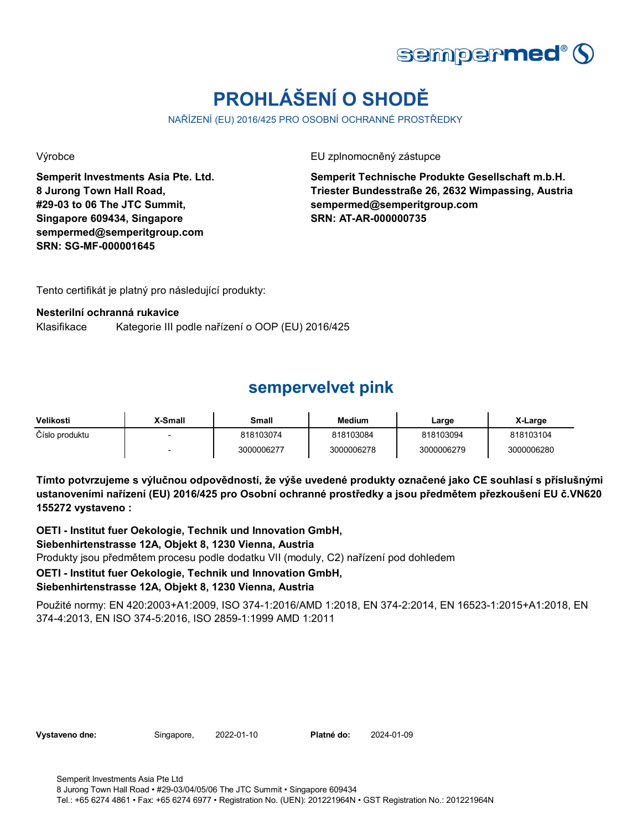

# **PROHLÁŠENÍ O SHODĚ**

NAŘÍZENÍ (EU) 2016/425 PRO OSOBNÍ OCHRANNÉ PROSTŘEDKY

**Semperit Investments Asia Pte. Ltd. 8 Jurong Town Hall Road, #29-03 to 06 The JTC Summit, Singapore 609434, Singapore sempermed@semperitgroup.com SRN: SG-MF-000001645**

Výrobce EU zplnomocněný zástupce

**Semperit Technische Produkte Gesellschaft m.b.H. Triester Bundesstraße 26, 2632 Wimpassing, Austria sempermed@semperitgroup.com SRN: AT-AR-000000735**

Tento certifikát je platný pro následující produkty:

### **Nesterilní ochranná rukavice**

Klasifikace Kategorie III podle nařízení o OOP (EU) 2016/425

### **sempervelvet pink**

| Velikosti      | X-Small | Small      | <b>Medium</b> | Large      | X-Large    |
|----------------|---------|------------|---------------|------------|------------|
| Číslo produktu |         | 818103074  | 818103084     | 818103094  | 818103104  |
|                |         | 3000006277 | 3000006278    | 3000006279 | 3000006280 |

**Tímto potvrzujeme s výlučnou odpovědností, že výše uvedené produkty označené jako CE souhlasí s příslušnými ustanoveními nařízení (EU) 2016/425 pro Osobní ochranné prostředky a jsou předmětem přezkoušení EU č.VN620 155272 vystaveno :**

Produkty jsou předmětem procesu podle dodatku VII (moduly, C2) nařízení pod dohledem **OETI - Institut fuer Oekologie, Technik und Innovation GmbH, Siebenhirtenstrasse 12A, Objekt 8, 1230 Vienna, Austria OETI - Institut fuer Oekologie, Technik und Innovation GmbH,** 

### **Siebenhirtenstrasse 12A, Objekt 8, 1230 Vienna, Austria**

Použité normy: EN 420:2003+A1:2009, ISO 374-1:2016/AMD 1:2018, EN 374-2:2014, EN 16523-1:2015+A1:2018, EN 374-4:2013, EN ISO 374-5:2016, ISO 2859-1:1999 AMD 1:2011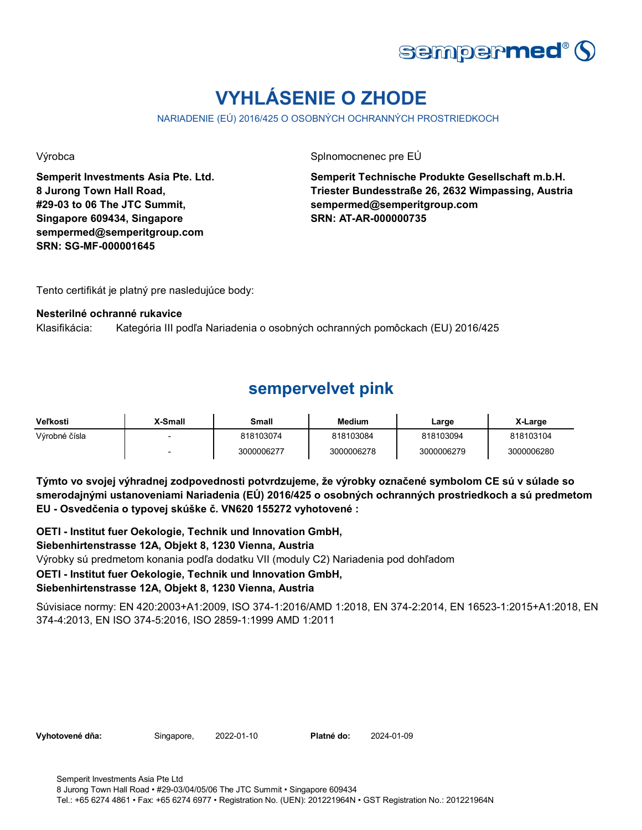

# **VYHLÁSENIE O ZHODE**

NARIADENIE (EÚ) 2016/425 O OSOBNÝCH OCHRANNÝCH PROSTRIEDKOCH

**Semperit Investments Asia Pte. Ltd. 8 Jurong Town Hall Road, #29-03 to 06 The JTC Summit, Singapore 609434, Singapore sempermed@semperitgroup.com SRN: SG-MF-000001645**

Výrobca **Splnomocnenec pre EÚ** 

**Semperit Technische Produkte Gesellschaft m.b.H. Triester Bundesstraße 26, 2632 Wimpassing, Austria sempermed@semperitgroup.com SRN: AT-AR-000000735**

Tento certifikát je platný pre nasledujúce body:

### **Nesterilné ochranné rukavice**

Klasifikácia: Kategória III podľa Nariadenia o osobných ochranných pomôckach (EU) 2016/425

## **sempervelvet pink**

| Veľkosti      | X-Small                  | Small      | <b>Medium</b> | Large      | X-Large    |
|---------------|--------------------------|------------|---------------|------------|------------|
| Výrobné čísla |                          | 818103074  | 818103084     | 818103094  | 818103104  |
|               | $\overline{\phantom{a}}$ | 3000006277 | 3000006278    | 3000006279 | 3000006280 |

**Týmto vo svojej výhradnej zodpovednosti potvrdzujeme, že výrobky označené symbolom CE sú v súlade so smerodajnými ustanoveniami Nariadenia (EÚ) 2016/425 o osobných ochranných prostriedkoch a sú predmetom EU - Osvedčenia o typovej skúške č. VN620 155272 vyhotovené :**

**OETI - Institut fuer Oekologie, Technik und Innovation GmbH,** 

### **Siebenhirtenstrasse 12A, Objekt 8, 1230 Vienna, Austria**

Výrobky sú predmetom konania podľa dodatku VII (moduly C2) Nariadenia pod dohľadom

### **OETI - Institut fuer Oekologie, Technik und Innovation GmbH,**

### **Siebenhirtenstrasse 12A, Objekt 8, 1230 Vienna, Austria**

Súvisiace normy: EN 420:2003+A1:2009, ISO 374-1:2016/AMD 1:2018, EN 374-2:2014, EN 16523-1:2015+A1:2018, EN 374-4:2013, EN ISO 374-5:2016, ISO 2859-1:1999 AMD 1:2011

Vyhotovené dňa: Singapore, 2022-01-10 Platné do: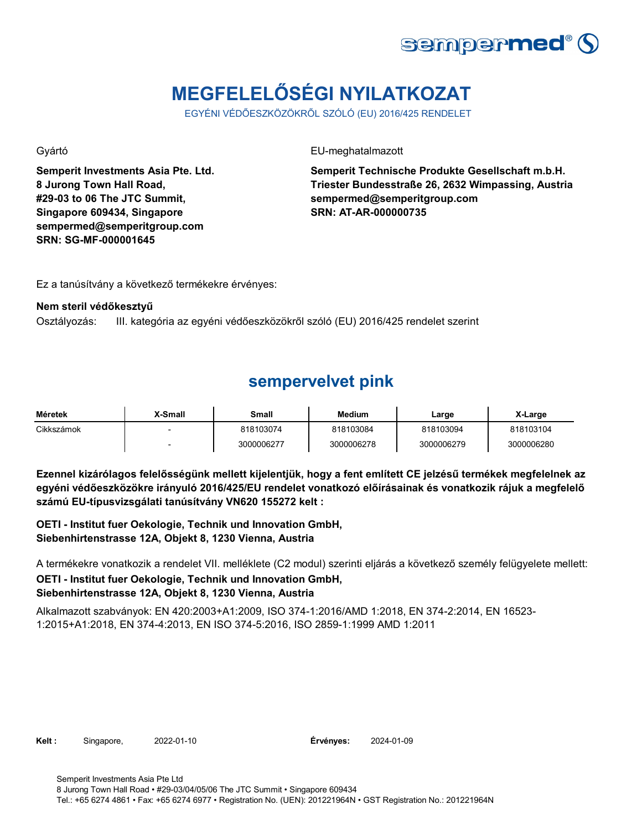

# **MEGFELELŐSÉGI NYILATKOZAT**

EGYÉNI VÉDŐESZKÖZÖKRŐL SZÓLÓ (EU) 2016/425 RENDELET

**Semperit Investments Asia Pte. Ltd. 8 Jurong Town Hall Road, #29-03 to 06 The JTC Summit, Singapore 609434, Singapore sempermed@semperitgroup.com SRN: SG-MF-000001645**

Gyártó EU-meghatalmazott

**Semperit Technische Produkte Gesellschaft m.b.H. Triester Bundesstraße 26, 2632 Wimpassing, Austria sempermed@semperitgroup.com SRN: AT-AR-000000735**

Ez a tanúsítvány a következő termékekre érvényes:

### **Nem steril védőkesztyű**

Osztályozás: III. kategória az egyéni védőeszközökről szóló (EU) 2016/425 rendelet szerint

## **sempervelvet pink**

| Méretek    | X-Small | Small      | Medium     | Large      | X-Large    |
|------------|---------|------------|------------|------------|------------|
| Cikkszámok |         | 818103074  | 818103084  | 818103094  | 818103104  |
|            |         | 3000006277 | 3000006278 | 3000006279 | 3000006280 |

**Ezennel kizárólagos felelősségünk mellett kijelentjük, hogy a fent említett CE jelzésű termékek megfelelnek az egyéni védőeszközökre irányuló 2016/425/EU rendelet vonatkozó előírásainak és vonatkozik rájuk a megfelelő számú EU-típusvizsgálati tanúsítvány VN620 155272 kelt :**

**OETI - Institut fuer Oekologie, Technik und Innovation GmbH, Siebenhirtenstrasse 12A, Objekt 8, 1230 Vienna, Austria**

A termékekre vonatkozik a rendelet VII. melléklete (C2 modul) szerinti eljárás a következő személy felügyelete mellett: **OETI - Institut fuer Oekologie, Technik und Innovation GmbH, Siebenhirtenstrasse 12A, Objekt 8, 1230 Vienna, Austria**

Alkalmazott szabványok: EN 420:2003+A1:2009, ISO 374-1:2016/AMD 1:2018, EN 374-2:2014, EN 16523- 1:2015+A1:2018, EN 374-4:2013, EN ISO 374-5:2016, ISO 2859-1:1999 AMD 1:2011

**Kelt :** Singapore, 2022-01-10

Érvényes: 2024-01-09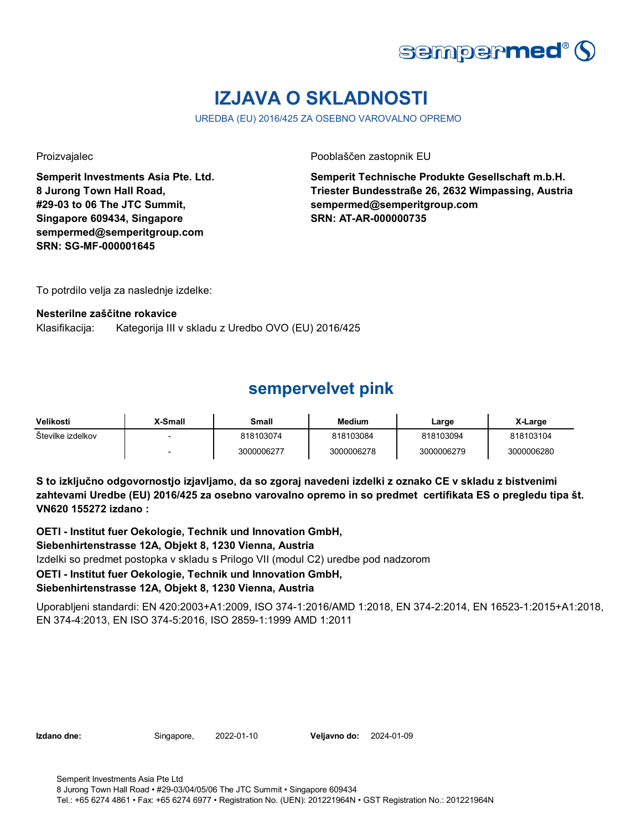

# **IZJAVA O SKLADNOSTI**

UREDBA (EU) 2016/425 ZA OSEBNO VAROVALNO OPREMO

**Semperit Investments Asia Pte. Ltd. 8 Jurong Town Hall Road, #29-03 to 06 The JTC Summit, Singapore 609434, Singapore sempermed@semperitgroup.com SRN: SG-MF-000001645**

Proizvajalec Pooblaščen zastopnik EU

**Semperit Technische Produkte Gesellschaft m.b.H. Triester Bundesstraße 26, 2632 Wimpassing, Austria sempermed@semperitgroup.com SRN: AT-AR-000000735**

To potrdilo velja za naslednje izdelke:

### **Nesterilne zaščitne rokavice**

Klasifikacija: Kategorija III v skladu z Uredbo OVO (EU) 2016/425

### **sempervelvet pink**

| Velikosti         | X-Small | Small      | <b>Medium</b> | Large      | X-Large    |
|-------------------|---------|------------|---------------|------------|------------|
| Stevilke izdelkov |         | 818103074  | 818103084     | 818103094  | 818103104  |
|                   |         | 3000006277 | 3000006278    | 3000006279 | 3000006280 |

**S to izključno odgovornostjo izjavljamo, da so zgoraj navedeni izdelki z oznako CE v skladu z bistvenimi zahtevami Uredbe (EU) 2016/425 za osebno varovalno opremo in so predmet certifikata ES o pregledu tipa št. VN620 155272 izdano :**

**OETI - Institut fuer Oekologie, Technik und Innovation GmbH,** 

### **Siebenhirtenstrasse 12A, Objekt 8, 1230 Vienna, Austria**

Izdelki so predmet postopka v skladu s Prilogo VII (modul C2) uredbe pod nadzorom

### **OETI - Institut fuer Oekologie, Technik und Innovation GmbH,**

### **Siebenhirtenstrasse 12A, Objekt 8, 1230 Vienna, Austria**

Uporabljeni standardi: EN 420:2003+A1:2009, ISO 374-1:2016/AMD 1:2018, EN 374-2:2014, EN 16523-1:2015+A1:2018, EN 374-4:2013, EN ISO 374-5:2016, ISO 2859-1:1999 AMD 1:2011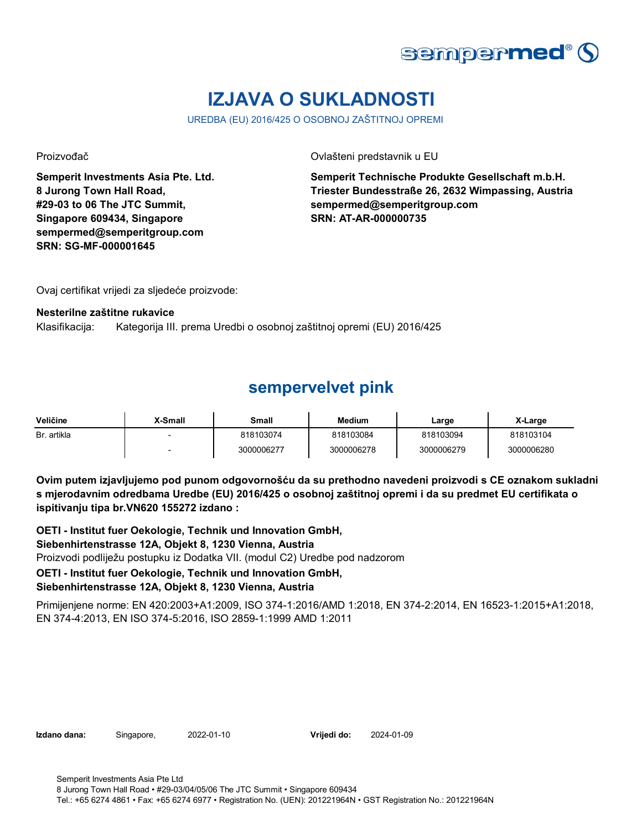

# **IZJAVA O SUKLADNOSTI**

UREDBA (EU) 2016/425 O OSOBNOJ ZAŠTITNOJ OPREMI

**Semperit Investments Asia Pte. Ltd. 8 Jurong Town Hall Road, #29-03 to 06 The JTC Summit, Singapore 609434, Singapore sempermed@semperitgroup.com SRN: SG-MF-000001645**

Proizvođač Ovlašteni predstavnik u EU

**Semperit Technische Produkte Gesellschaft m.b.H. Triester Bundesstraße 26, 2632 Wimpassing, Austria sempermed@semperitgroup.com SRN: AT-AR-000000735**

Ovaj certifikat vrijedi za sljedeće proizvode:

#### **Nesterilne zaštitne rukavice**

Klasifikacija: Kategorija III. prema Uredbi o osobnoj zaštitnoj opremi (EU) 2016/425

### **sempervelvet pink**

| Veličine    | X-Small | Small      | Medium     | Large      | X-Large    |
|-------------|---------|------------|------------|------------|------------|
| Br. artikla |         | 818103074  | 818103084  | 818103094  | 818103104  |
|             |         | 3000006277 | 3000006278 | 3000006279 | 3000006280 |

**Ovim putem izjavljujemo pod punom odgovornošću da su prethodno navedeni proizvodi s CE oznakom sukladni s mjerodavnim odredbama Uredbe (EU) 2016/425 o osobnoj zaštitnoj opremi i da su predmet EU certifikata o ispitivanju tipa br.VN620 155272 izdano :**

Proizvodi podliježu postupku iz Dodatka VII. (modul C2) Uredbe pod nadzorom **OETI - Institut fuer Oekologie, Technik und Innovation GmbH, Siebenhirtenstrasse 12A, Objekt 8, 1230 Vienna, Austria OETI - Institut fuer Oekologie, Technik und Innovation GmbH, Siebenhirtenstrasse 12A, Objekt 8, 1230 Vienna, Austria**

Primijenjene norme: EN 420:2003+A1:2009, ISO 374-1:2016/AMD 1:2018, EN 374-2:2014, EN 16523-1:2015+A1:2018, EN 374-4:2013, EN ISO 374-5:2016, ISO 2859-1:1999 AMD 1:2011

**Izdano dana:** Singapore, 2022-01-10 **Vrijedi do:** 2024-01-09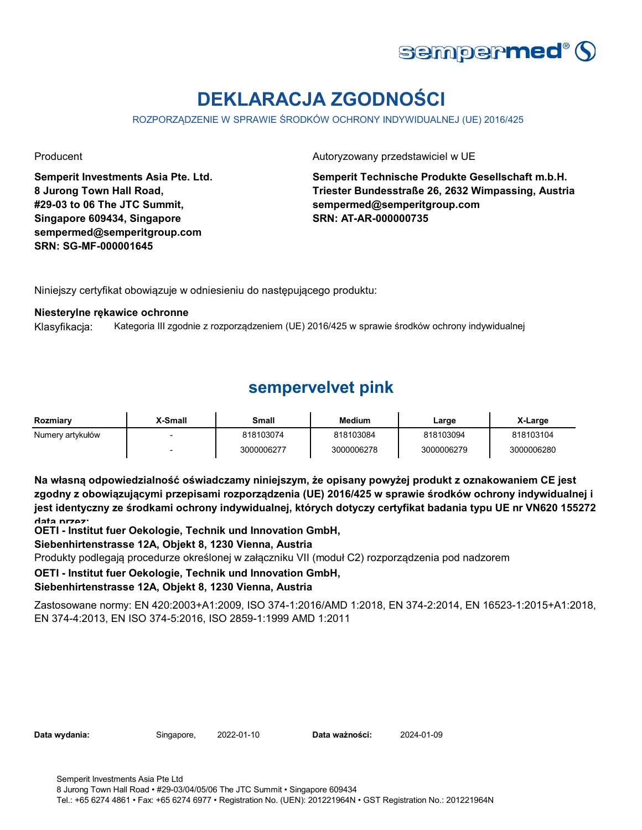

# **DEKLARACJA ZGODNOŚCI**

ROZPORZĄDZENIE W SPRAWIE ŚRODKÓW OCHRONY INDYWIDUALNEJ (UE) 2016/425

**Semperit Investments Asia Pte. Ltd. 8 Jurong Town Hall Road, #29-03 to 06 The JTC Summit, Singapore 609434, Singapore sempermed@semperitgroup.com SRN: SG-MF-000001645**

Producent **Autoryzowany przedstawiciel w UE** 

**Semperit Technische Produkte Gesellschaft m.b.H. Triester Bundesstraße 26, 2632 Wimpassing, Austria sempermed@semperitgroup.com SRN: AT-AR-000000735**

Niniejszy certyfikat obowiązuje w odniesieniu do następującego produktu:

#### **Niesterylne rękawice ochronne**

Klasyfikacja: Kategoria III zgodnie z rozporządzeniem (UE) 2016/425 w sprawie środków ochrony indywidualnej

## **sempervelvet pink**

| Rozmiarv         | <b>Y-Small</b> | Small      | <b>Medium</b> | Large      | X-Large    |
|------------------|----------------|------------|---------------|------------|------------|
| Numery artykułów |                | 818103074  | 818103084     | 818103094  | 818103104  |
|                  |                | 3000006277 | 3000006278    | 3000006279 | 3000006280 |

**Na własną odpowiedzialność oświadczamy niniejszym, że opisany powyżej produkt z oznakowaniem CE jest zgodny z obowiązującymi przepisami rozporządzenia (UE) 2016/425 w sprawie środków ochrony indywidualnej i jest identyczny ze środkami ochrony indywidualnej, których dotyczy certyfikat badania typu UE nr VN620 155272 data przez:**

**OETI - Institut fuer Oekologie, Technik und Innovation GmbH,** 

### **Siebenhirtenstrasse 12A, Objekt 8, 1230 Vienna, Austria**

Produkty podlegają procedurze określonej w załączniku VII (moduł C2) rozporządzenia pod nadzorem

### **OETI - Institut fuer Oekologie, Technik und Innovation GmbH,**

### **Siebenhirtenstrasse 12A, Objekt 8, 1230 Vienna, Austria**

Zastosowane normy: EN 420:2003+A1:2009, ISO 374-1:2016/AMD 1:2018, EN 374-2:2014, EN 16523-1:2015+A1:2018, EN 374-4:2013, EN ISO 374-5:2016, ISO 2859-1:1999 AMD 1:2011

| Data wydania: |  |  |
|---------------|--|--|
|---------------|--|--|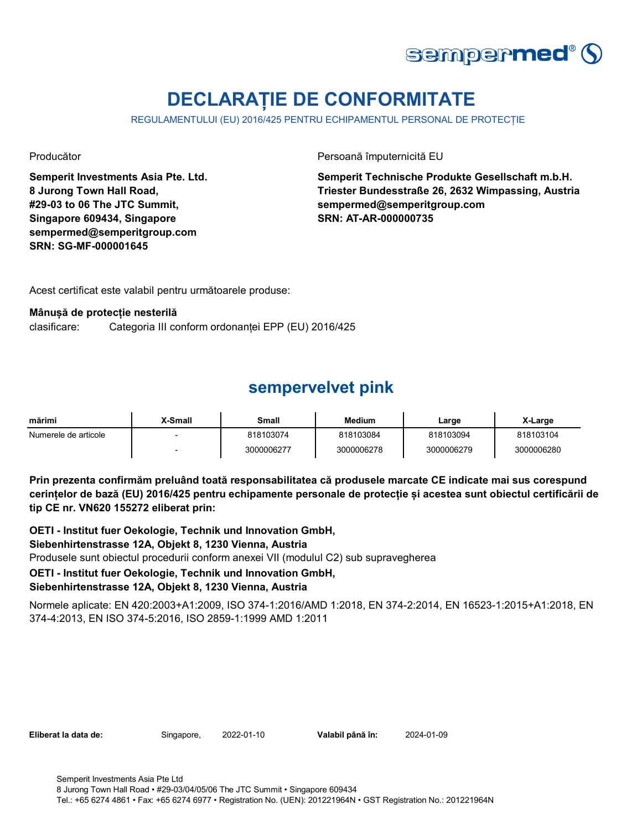

# **DECLARAȚIE DE CONFORMITATE**

REGULAMENTULUI (EU) 2016/425 PENTRU ECHIPAMENTUL PERSONAL DE PROTECȚIE

**Semperit Investments Asia Pte. Ltd. 8 Jurong Town Hall Road, #29-03 to 06 The JTC Summit, Singapore 609434, Singapore sempermed@semperitgroup.com SRN: SG-MF-000001645**

Producător Persoană împuternicită EU

**Semperit Technische Produkte Gesellschaft m.b.H. Triester Bundesstraße 26, 2632 Wimpassing, Austria sempermed@semperitgroup.com SRN: AT-AR-000000735**

Acest certificat este valabil pentru următoarele produse:

### **Mânușă de protecție nesterilă**

clasificare: Categoria III conform ordonanței EPP (EU) 2016/425

## **sempervelvet pink**

| mărimi               | X-Small | Small      | <b>Medium</b> | Large      | X-Large    |
|----------------------|---------|------------|---------------|------------|------------|
| Numerele de articole |         | 818103074  | 818103084     | 818103094  | 818103104  |
|                      |         | 3000006277 | 3000006278    | 3000006279 | 3000006280 |

**Prin prezenta confirmăm preluând toată responsabilitatea că produsele marcate CE indicate mai sus corespund cerințelor de bază (EU) 2016/425 pentru echipamente personale de protecție și acestea sunt obiectul certificării de tip CE nr. VN620 155272 eliberat prin:**

**OETI - Institut fuer Oekologie, Technik und Innovation GmbH,** 

### **Siebenhirtenstrasse 12A, Objekt 8, 1230 Vienna, Austria**

Produsele sunt obiectul procedurii conform anexei VII (modulul C2) sub supravegherea

### **OETI - Institut fuer Oekologie, Technik und Innovation GmbH,**

### **Siebenhirtenstrasse 12A, Objekt 8, 1230 Vienna, Austria**

Normele aplicate: EN 420:2003+A1:2009, ISO 374-1:2016/AMD 1:2018, EN 374-2:2014, EN 16523-1:2015+A1:2018, EN 374-4:2013, EN ISO 374-5:2016, ISO 2859-1:1999 AMD 1:2011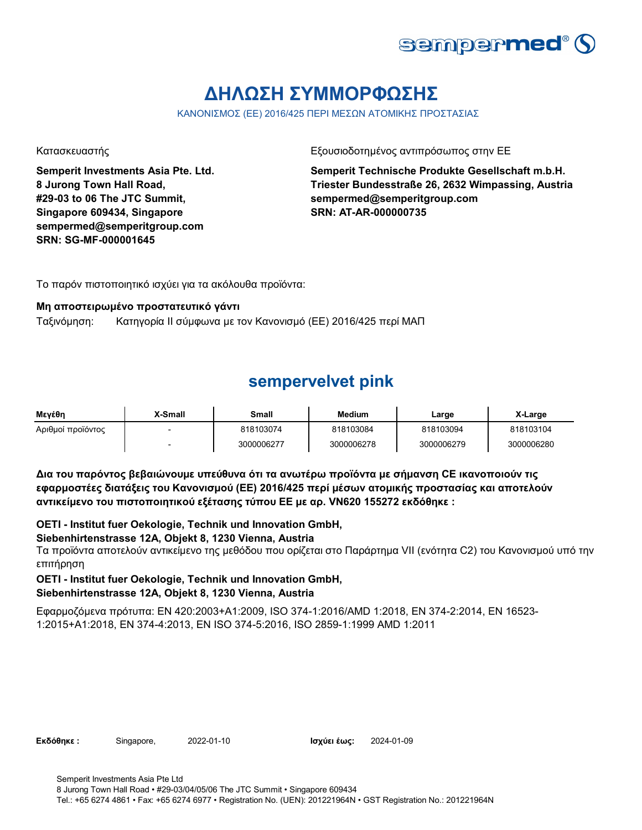

# **ΔΗΛΩΣΗ ΣΥΜΜΟΡΦΩΣΗΣ**

ΚΑΝΟΝΙΣΜΟΣ (ΕΕ) 2016/425 ΠΕΡΙ ΜΕΣΩΝ ΑΤΟΜΙΚΗΣ ΠΡΟΣΤΑΣΙΑΣ

**Semperit Investments Asia Pte. Ltd. 8 Jurong Town Hall Road, #29-03 to 06 The JTC Summit, Singapore 609434, Singapore sempermed@semperitgroup.com SRN: SG-MF-000001645**

Κατασκευαστής Γεριοδοτημένος αντιπρόσωπος στην ΕΕ

**Semperit Technische Produkte Gesellschaft m.b.H. Triester Bundesstraße 26, 2632 Wimpassing, Austria sempermed@semperitgroup.com SRN: AT-AR-000000735**

Το παρόν πιστοποιητικό ισχύει για τα ακόλουθα προϊόντα:

### **Μη αποστειρωμένο προστατευτικό γάντι**

Ταξινόμηση: Κατηγορία II σύμφωνα με τον Κανονισμό (ΕΕ) 2016/425 περί ΜΑΠ

## **sempervelvet pink**

| Μενέθη            | X-Small                  | Small      | <b>Medium</b> | Large      | X-Large    |
|-------------------|--------------------------|------------|---------------|------------|------------|
| Αριθμοί προϊόντος | $\overline{\phantom{0}}$ | 818103074  | 818103084     | 818103094  | 818103104  |
|                   | $\sim$                   | 3000006277 | 3000006278    | 3000006279 | 3000006280 |

**Δια του παρόντος βεβαιώνουμε υπεύθυνα ότι τα ανωτέρω προϊόντα με σήμανση CE ικανοποιούν τις εφαρμοστέες διατάξεις του Κανονισμού (ΕΕ) 2016/425 περί μέσων ατομικής προστασίας και αποτελούν αντικείμενο του πιστοποιητικού εξέτασης τύπου ΕΕ με αρ. VN620 155272 εκδόθηκε :**

**OETI - Institut fuer Oekologie, Technik und Innovation GmbH,** 

### **Siebenhirtenstrasse 12A, Objekt 8, 1230 Vienna, Austria**

Τα προϊόντα αποτελούν αντικείμενο της μεθόδου που ορίζεται στο Παράρτημα VII (ενότητα C2) του Κανονισμού υπό την επιτήρηση

### **OETI - Institut fuer Oekologie, Technik und Innovation GmbH,**

### **Siebenhirtenstrasse 12A, Objekt 8, 1230 Vienna, Austria**

Εφαρμοζόμενα πρότυπα: EN 420:2003+A1:2009, ISO 374-1:2016/AMD 1:2018, EN 374-2:2014, EN 16523- 1:2015+A1:2018, EN 374-4:2013, EN ISO 374-5:2016, ISO 2859-1:1999 AMD 1:2011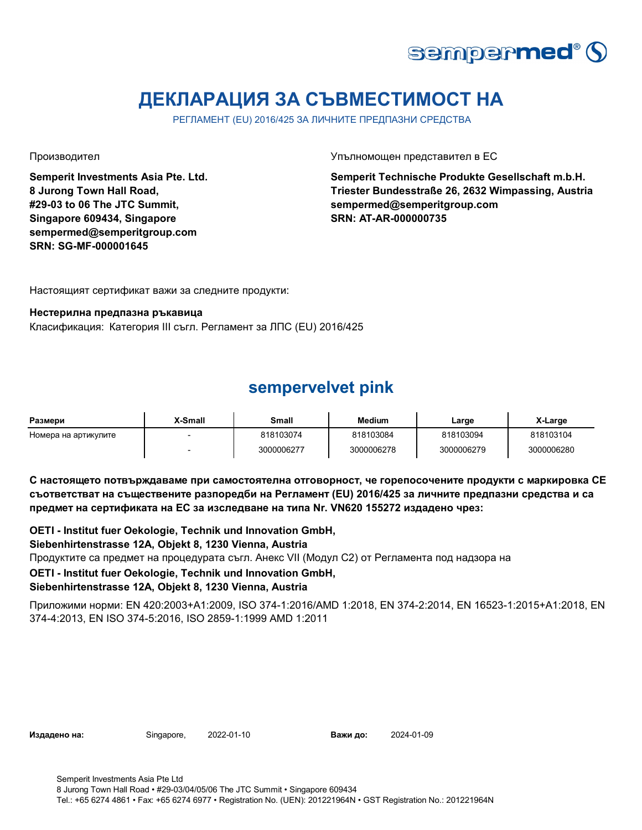

# **ДЕКЛАРАЦИЯ ЗА СЪВМЕСТИМОСТ НА**

РЕГЛАМЕНТ (EU) 2016/425 ЗА ЛИЧНИТЕ ПРЕДПАЗНИ СРЕДСТВА

**Semperit Investments Asia Pte. Ltd. 8 Jurong Town Hall Road, #29-03 to 06 The JTC Summit, Singapore 609434, Singapore sempermed@semperitgroup.com SRN: SG-MF-000001645**

Производител Упълномощен представител в ЕС

**Semperit Technische Produkte Gesellschaft m.b.H. Triester Bundesstraße 26, 2632 Wimpassing, Austria sempermed@semperitgroup.com SRN: AT-AR-000000735**

Настоящият сертификат важи за следните продукти:

#### **Нестерилна предпазна ръкавица**

Класификация: Категория III съгл. Регламент за ЛПС (EU) 2016/425

### **sempervelvet pink**

| Размери              | X-Small | Small      | <b>Medium</b> | Large      | X-Large    |
|----------------------|---------|------------|---------------|------------|------------|
| Номера на артикулите |         | 818103074  | 818103084     | 818103094  | 818103104  |
|                      |         | 3000006277 | 3000006278    | 3000006279 | 3000006280 |

**С настоящето потвърждаваме при самостоятелна отговорност, че горепосочените продукти с маркировка СЕ съответстват на съществените разпоредби на Регламент (EU) 2016/425 за личните предпазни средства и са предмет на сертификата на ЕС за изследване на типа Nr. VN620 155272 издадено чрез:**

**OETI - Institut fuer Oekologie, Technik und Innovation GmbH,** 

### **Siebenhirtenstrasse 12A, Objekt 8, 1230 Vienna, Austria**

Продуктите са предмет на процедурата съгл. Анекс VII (Модул С2) от Регламента под надзора на

### **OETI - Institut fuer Oekologie, Technik und Innovation GmbH,**

### **Siebenhirtenstrasse 12A, Objekt 8, 1230 Vienna, Austria**

Приложими норми: EN 420:2003+A1:2009, ISO 374-1:2016/AMD 1:2018, EN 374-2:2014, EN 16523-1:2015+A1:2018, EN 374-4:2013, EN ISO 374-5:2016, ISO 2859-1:1999 AMD 1:2011

**Издадено на:** Singapore, **Важи до:**